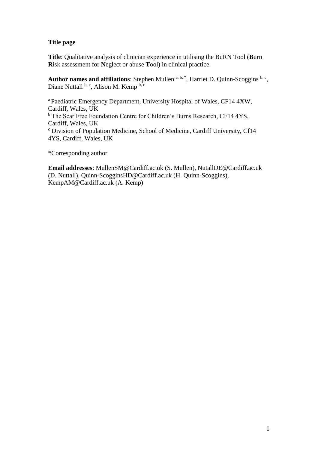# **Title page**

**Title**: Qualitative analysis of clinician experience in utilising the BuRN Tool (**B**urn **R**isk assessment for **N**eglect or abuse **T**ool) in clinical practice.

Author names and affiliations: Stephen Mullen <sup>a, b, \*</sup>, Harriet D. Quinn-Scoggins <sup>b, c</sup>, Diane Nuttall <sup>b, c</sup>, Alison M. Kemp <sup>b, c</sup>

<sup>a</sup> Paediatric Emergency Department, University Hospital of Wales, CF14 4XW, Cardiff, Wales, UK <sup>b</sup> The Scar Free Foundation Centre for Children's Burns Research, CF14 4YS, Cardiff, Wales, UK <sup>c</sup> Division of Population Medicine, School of Medicine, Cardiff University, Cf14 4YS, Cardiff, Wales, UK

\*Corresponding author

**Email addresses**: MullenSM@Cardiff.ac.uk (S. Mullen), NutallDE@Cardiff.ac.uk (D. Nuttall), Quinn-ScogginsHD@Cardiff.ac.uk (H. Quinn-Scoggins), KempAM@Cardiff.ac.uk (A. Kemp)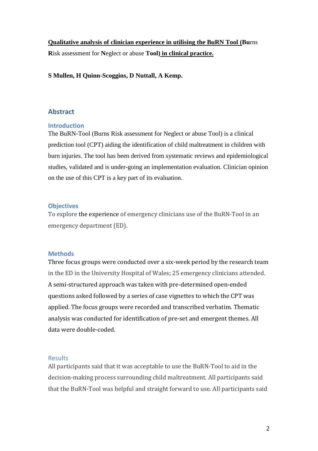**Qualitative analysis of clinician experience in utilising the BuRN Tool (Bu**rns **R**isk assessment for **N**eglect or abuse **Tool) in clinical practice.** 

# **S Mullen, H Quinn-Scoggins, D Nuttall, A Kemp.**

## **Abstract**

### **Introduction**

The BuRN-Tool (Burns Risk assessment for Neglect or abuse Tool) is a clinical prediction tool (CPT) aiding the identification of child maltreatment in children with burn injuries. The tool has been derived from systematic reviews and epidemiological studies, validated and is under-going an implementation evaluation. Clinician opinion on the use of this CPT is a key part of its evaluation.

## **Objectives**

To explore the experience of emergency clinicians use of the BuRN-Tool in an emergency department (ED).

## **Methods**

Three focus groups were conducted over a six-week period by the research team in the ED in the University Hospital of Wales; 25 emergency clinicians attended. A semi-structured approach was taken with pre-determined open-ended questions asked followed by a series of case vignettes to which the CPT was applied. The focus groups were recorded and transcribed verbatim. Thematic analysis was conducted for identification of pre-set and emergent themes. All data were double-coded.

## Results

All participants said that it was acceptable to use the BuRN-Tool to aid in the decision-making process surrounding child maltreatment. All participants said that the BuRN-Tool was helpful and straight forward to use. All participants said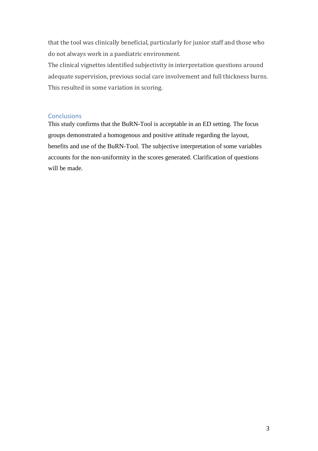that the tool was clinically beneficial, particularly for junior staff and those who do not always work in a paediatric environment.

The clinical vignettes identified subjectivity in interpretation questions around adequate supervision, previous social care involvement and full thickness burns. This resulted in some variation in scoring.

# **Conclusions**

This study confirms that the BuRN-Tool is acceptable in an ED setting. The focus groups demonstrated a homogenous and positive attitude regarding the layout, benefits and use of the BuRN-Tool. The subjective interpretation of some variables accounts for the non-uniformity in the scores generated. Clarification of questions will be made.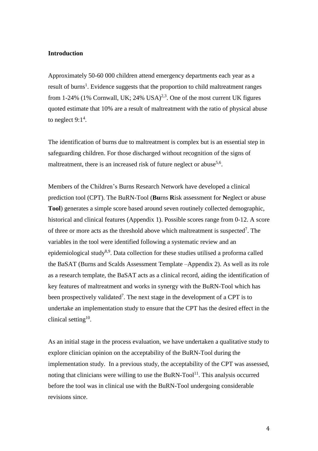## **Introduction**

Approximately 50-60 000 children attend emergency departments each year as a result of burns<sup>1</sup>. Evidence suggests that the proportion to child maltreatment ranges from 1-24% (1% Cornwall, UK; 24% USA)<sup>2,3</sup>. One of the most current UK figures quoted estimate that 10% are a result of maltreatment with the ratio of physical abuse to neglect  $9:1^4$ .

The identification of burns due to maltreatment is complex but is an essential step in safeguarding children. For those discharged without recognition of the signs of maltreatment, there is an increased risk of future neglect or abuse<sup>5,6</sup>.

Members of the Children's Burns Research Network have developed a clinical prediction tool (CPT). The BuRN-Tool (**Bu**rns **R**isk assessment for **N**eglect or abuse **Tool**) generates a simple score based around seven routinely collected demographic, historical and clinical features (Appendix 1). Possible scores range from 0-12. A score of three or more acts as the threshold above which maltreatment is suspected<sup>7</sup>. The variables in the tool were identified following a systematic review and an epidemiological study<sup>8,9</sup>. Data collection for these studies utilised a proforma called the BaSAT (Burns and Scalds Assessment Template –Appendix 2). As well as its role as a research template, the BaSAT acts as a clinical record, aiding the identification of key features of maltreatment and works in synergy with the BuRN-Tool which has been prospectively validated<sup>7</sup>. The next stage in the development of a CPT is to undertake an implementation study to ensure that the CPT has the desired effect in the clinical setting<sup>10</sup>.

As an initial stage in the process evaluation, we have undertaken a qualitative study to explore clinician opinion on the acceptability of the BuRN-Tool during the implementation study. In a previous study, the acceptability of the CPT was assessed, noting that clinicians were willing to use the BuRN-Tool $^{11}$ . This analysis occurred before the tool was in clinical use with the BuRN-Tool undergoing considerable revisions since.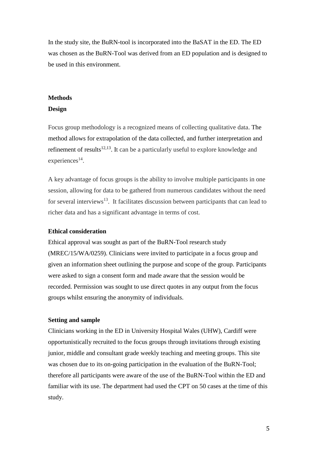In the study site, the BuRN-tool is incorporated into the BaSAT in the ED. The ED was chosen as the BuRN-Tool was derived from an ED population and is designed to be used in this environment.

#### **Methods**

#### **Design**

Focus group methodology is a recognized means of collecting qualitative data. The method allows for extrapolation of the data collected, and further interpretation and refinement of results<sup>12,13</sup>. It can be a particularly useful to explore knowledge and experiences<sup>14</sup>.

A key advantage of focus groups is the ability to involve multiple participants in one session, allowing for data to be gathered from numerous candidates without the need for several interviews<sup>13</sup>. It facilitates discussion between participants that can lead to richer data and has a significant advantage in terms of cost.

## **Ethical consideration**

Ethical approval was sought as part of the BuRN-Tool research study (MREC/15/WA/0259). Clinicians were invited to participate in a focus group and given an information sheet outlining the purpose and scope of the group. Participants were asked to sign a consent form and made aware that the session would be recorded. Permission was sought to use direct quotes in any output from the focus groups whilst ensuring the anonymity of individuals.

## **Setting and sample**

Clinicians working in the ED in University Hospital Wales (UHW), Cardiff were opportunistically recruited to the focus groups through invitations through existing junior, middle and consultant grade weekly teaching and meeting groups. This site was chosen due to its on-going participation in the evaluation of the BuRN-Tool; therefore all participants were aware of the use of the BuRN-Tool within the ED and familiar with its use. The department had used the CPT on 50 cases at the time of this study.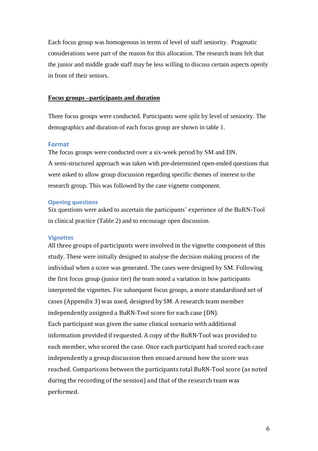Each focus group was homogenous in terms of level of staff seniority. Pragmatic considerations were part of the reason for this allocation. The research team felt that the junior and middle grade staff may be less willing to discuss certain aspects openly in front of their seniors.

#### **Focus groups –participants and duration**

Three focus groups were conducted. Participants were split by level of seniority. The demographics and duration of each focus group are shown in table 1.

#### **Format**

The focus groups were conducted over a six-week period by SM and DN. A semi-structured approach was taken with pre-determined open-ended questions that were asked to allow group discussion regarding specific themes of interest to the research group. This was followed by the case vignette component.

#### **Opening questions**

Six questions were asked to ascertain the participants' experience of the BuRN-Tool in clinical practice (Table 2) and to encourage open discussion.

## **Vignettes**

All three groups of participants were involved in the vignette component of this study. These were initially designed to analyse the decision making process of the individual when a score was generated. The cases were designed by SM. Following the first focus group (junior tier) the team noted a variation in how participants interpreted the vignettes. For subsequent focus groups, a more standardised set of cases (Appendix 3) was used, designed by SM. A research team member independently assigned a BuRN-Tool score for each case (DN). Each participant was given the same clinical scenario with additional information provided if requested. A copy of the BuRN-Tool was provided to each member, who scored the case. Once each participant had scored each case independently a group discussion then ensued around how the score was reached. Comparisons between the participants total BuRN-Tool score (as noted during the recording of the session) and that of the research team was performed.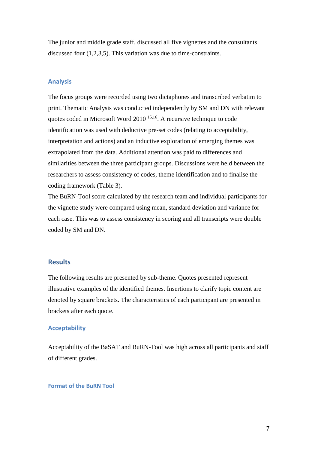The junior and middle grade staff, discussed all five vignettes and the consultants discussed four (1,2,3,5). This variation was due to time-constraints.

#### **Analysis**

The focus groups were recorded using two dictaphones and transcribed verbatim to print. Thematic Analysis was conducted independently by SM and DN with relevant quotes coded in Microsoft Word 2010<sup>15,16</sup>. A recursive technique to code identification was used with deductive pre-set codes (relating to acceptability, interpretation and actions) and an inductive exploration of emerging themes was extrapolated from the data. Additional attention was paid to differences and similarities between the three participant groups. Discussions were held between the researchers to assess consistency of codes, theme identification and to finalise the coding framework (Table 3).

The BuRN-Tool score calculated by the research team and individual participants for the vignette study were compared using mean, standard deviation and variance for each case. This was to assess consistency in scoring and all transcripts were double coded by SM and DN.

# **Results**

The following results are presented by sub-theme. Quotes presented represent illustrative examples of the identified themes. Insertions to clarify topic content are denoted by square brackets. The characteristics of each participant are presented in brackets after each quote.

### **Acceptability**

Acceptability of the BaSAT and BuRN-Tool was high across all participants and staff of different grades.

# **Format of the BuRN Tool**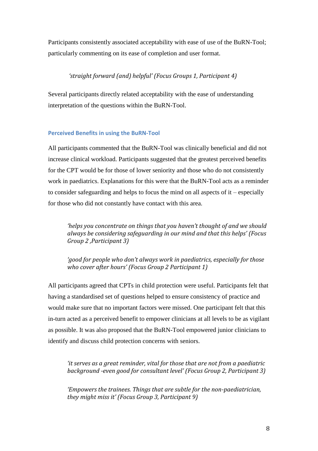Participants consistently associated acceptability with ease of use of the BuRN-Tool; particularly commenting on its ease of completion and user format.

# *'straight forward (and) helpful' (Focus Groups 1, Participant 4)*

Several participants directly related acceptability with the ease of understanding interpretation of the questions within the BuRN-Tool.

### **Perceived Benefits in using the BuRN-Tool**

All participants commented that the BuRN-Tool was clinically beneficial and did not increase clinical workload. Participants suggested that the greatest perceived benefits for the CPT would be for those of lower seniority and those who do not consistently work in paediatrics. Explanations for this were that the BuRN-Tool acts as a reminder to consider safeguarding and helps to focus the mind on all aspects of it – especially for those who did not constantly have contact with this area.

*'helps you concentrate on things that you haven't thought of and we should always be considering safeguarding in our mind and that this helps' (Focus Group 2 ,Participant 3)*

*'good for people who don't always work in paediatrics, especially for those who cover after hours' (Focus Group 2 Participant 1)*

All participants agreed that CPTs in child protection were useful. Participants felt that having a standardised set of questions helped to ensure consistency of practice and would make sure that no important factors were missed. One participant felt that this in-turn acted as a perceived benefit to empower clinicians at all levels to be as vigilant as possible. It was also proposed that the BuRN-Tool empowered junior clinicians to identify and discuss child protection concerns with seniors.

*'it serves as a great reminder, vital for those that are not from a paediatric background -even good for consultant level' (Focus Group 2, Participant 3)*

*'Empowers the trainees. Things that are subtle for the non-paediatrician, they might miss it' (Focus Group 3, Participant 9)*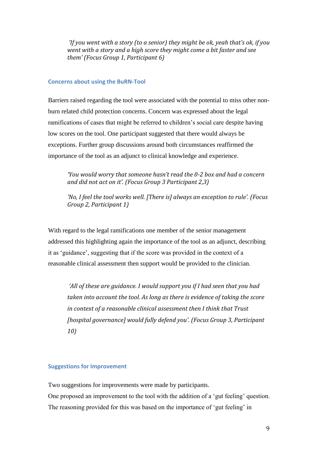*'If you went with a story (to a senior) they might be ok, yeah that's ok, if you went with a story and a high score they might come a bit faster and see them' (Focus Group 1, Participant 6)*

### **Concerns about using the BuRN-Tool**

Barriers raised regarding the tool were associated with the potential to miss other nonburn related child protection concerns. Concern was expressed about the legal ramifications of cases that might be referred to children's social care despite having low scores on the tool. One participant suggested that there would always be exceptions. Further group discussions around both circumstances reaffirmed the importance of the tool as an adjunct to clinical knowledge and experience.

*'You would worry that someone hasn't read the 0-2 box and had a concern and did not act on it'. (Focus Group 3 Participant 2,3)*

*'No, I feel the tool works well. [There is] always an exception to rule'. (Focus Group 2, Participant 1)* 

With regard to the legal ramifications one member of the senior management addressed this highlighting again the importance of the tool as an adjunct, describing it as 'guidance', suggesting that if the score was provided in the context of a reasonable clinical assessment then support would be provided to the clinician.

*'All of these are guidance. I would support you if I had seen that you had taken into account the tool. As long as there is evidence of taking the score in context of a reasonable clinical assessment then I think that Trust [hospital governance] would fully defend you'. (Focus Group 3, Participant 10)*

## **Suggestions for Improvement**

Two suggestions for improvements were made by participants. One proposed an improvement to the tool with the addition of a 'gut feeling' question. The reasoning provided for this was based on the importance of 'gut feeling' in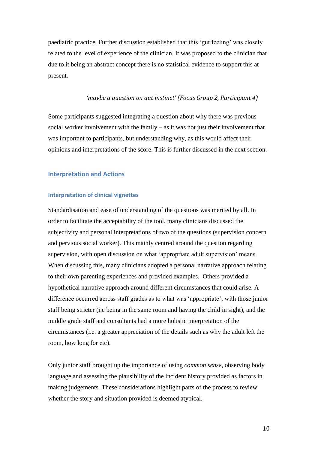paediatric practice. Further discussion established that this 'gut feeling' was closely related to the level of experience of the clinician. It was proposed to the clinician that due to it being an abstract concept there is no statistical evidence to support this at present.

#### *'maybe a question on gut instinct' (Focus Group 2, Participant 4)*

Some participants suggested integrating a question about why there was previous social worker involvement with the family – as it was not just their involvement that was important to participants, but understanding why, as this would affect their opinions and interpretations of the score. This is further discussed in the next section.

#### **Interpretation and Actions**

#### **Interpretation of clinical vignettes**

Standardisation and ease of understanding of the questions was merited by all. In order to facilitate the acceptability of the tool, many clinicians discussed the subjectivity and personal interpretations of two of the questions (supervision concern and pervious social worker). This mainly centred around the question regarding supervision, with open discussion on what 'appropriate adult supervision' means. When discussing this, many clinicians adopted a personal narrative approach relating to their own parenting experiences and provided examples. Others provided a hypothetical narrative approach around different circumstances that could arise. A difference occurred across staff grades as to what was 'appropriate'; with those junior staff being stricter (i.e being in the same room and having the child in sight), and the middle grade staff and consultants had a more holistic interpretation of the circumstances (i.e. a greater appreciation of the details such as why the adult left the room, how long for etc).

Only junior staff brought up the importance of using *common sense*, observing body language and assessing the plausibility of the incident history provided as factors in making judgements. These considerations highlight parts of the process to review whether the story and situation provided is deemed atypical.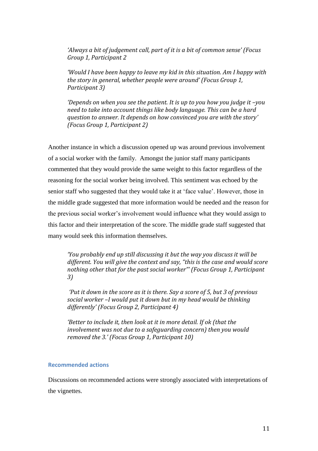*'Always a bit of judgement call, part of it is a bit of common sense' (Focus Group 1, Participant 2*

*'Would I have been happy to leave my kid in this situation. Am I happy with the story in general, whether people were around' (Focus Group 1, Participant 3)*

*'Depends on when you see the patient. It is up to you how you judge it -you need to take into account things like body language. This can be a hard question to answer. It depends on how convinced you are with the story' (Focus Group 1, Participant 2)*

Another instance in which a discussion opened up was around previous involvement of a social worker with the family. Amongst the junior staff many participants commented that they would provide the same weight to this factor regardless of the reasoning for the social worker being involved. This sentiment was echoed by the senior staff who suggested that they would take it at 'face value'. However, those in the middle grade suggested that more information would be needed and the reason for the previous social worker's involvement would influence what they would assign to this factor and their interpretation of the score. The middle grade staff suggested that many would seek this information themselves.

*'You probably end up still discussing it but the way you discuss it will be different. You will give the context and say, "this is the case and would score nothing other that for the past social worker"' (Focus Group 1, Participant 3)*

*'Put it down in the score as it is there. Say a score of 5, but 3 of previous social worker –I would put it down but in my head would be thinking differently' (Focus Group 2, Participant 4)*

*'Better to include it, then look at it in more detail. If ok (that the involvement was not due to a safeguarding concern) then you would removed the 3.' (Focus Group 1, Participant 10)*

### **Recommended actions**

Discussions on recommended actions were strongly associated with interpretations of the vignettes.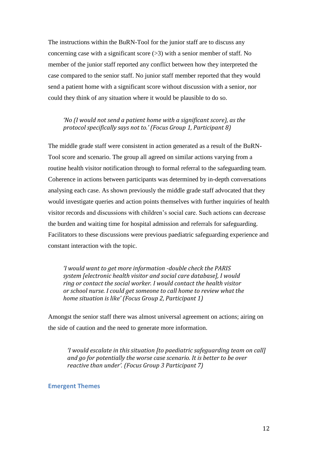The instructions within the BuRN-Tool for the junior staff are to discuss any concerning case with a significant score  $(>3)$  with a senior member of staff. No member of the junior staff reported any conflict between how they interpreted the case compared to the senior staff. No junior staff member reported that they would send a patient home with a significant score without discussion with a senior, nor could they think of any situation where it would be plausible to do so.

# *'No (I would not send a patient home with a significant score), as the protocol specifically says not to.' (Focus Group 1, Participant 8)*

The middle grade staff were consistent in action generated as a result of the BuRN-Tool score and scenario. The group all agreed on similar actions varying from a routine health visitor notification through to formal referral to the safeguarding team. Coherence in actions between participants was determined by in-depth conversations analysing each case. As shown previously the middle grade staff advocated that they would investigate queries and action points themselves with further inquiries of health visitor records and discussions with children's social care. Such actions can decrease the burden and waiting time for hospital admission and referrals for safeguarding. Facilitators to these discussions were previous paediatric safeguarding experience and constant interaction with the topic.

*'I would want to get more information -double check the PARIS system [electronic health visitor and social care database], I would ring or contact the social worker. I would contact the health visitor or school nurse. I could get someone to call home to review what the home situation is like' (Focus Group 2, Participant 1)*

Amongst the senior staff there was almost universal agreement on actions; airing on the side of caution and the need to generate more information.

*'I would escalate in this situation [to paediatric safeguarding team on call] and go for potentially the worse case scenario. It is better to be over reactive than under'. (Focus Group 3 Participant 7)*

#### **Emergent Themes**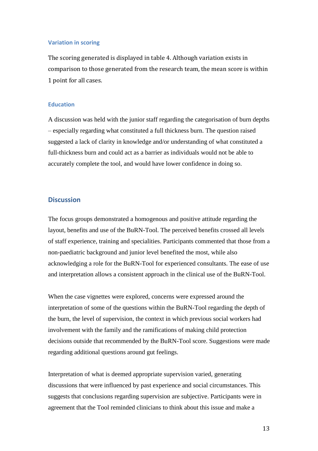#### **Variation in scoring**

The scoring generated is displayed in table 4. Although variation exists in comparison to those generated from the research team, the mean score is within 1 point for all cases.

#### **Education**

A discussion was held with the junior staff regarding the categorisation of burn depths – especially regarding what constituted a full thickness burn. The question raised suggested a lack of clarity in knowledge and/or understanding of what constituted a full-thickness burn and could act as a barrier as individuals would not be able to accurately complete the tool, and would have lower confidence in doing so.

## **Discussion**

The focus groups demonstrated a homogenous and positive attitude regarding the layout, benefits and use of the BuRN-Tool. The perceived benefits crossed all levels of staff experience, training and specialities. Participants commented that those from a non-paediatric background and junior level benefited the most, while also acknowledging a role for the BuRN-Tool for experienced consultants. The ease of use and interpretation allows a consistent approach in the clinical use of the BuRN-Tool.

When the case vignettes were explored, concerns were expressed around the interpretation of some of the questions within the BuRN-Tool regarding the depth of the burn, the level of supervision, the context in which previous social workers had involvement with the family and the ramifications of making child protection decisions outside that recommended by the BuRN-Tool score. Suggestions were made regarding additional questions around gut feelings.

Interpretation of what is deemed appropriate supervision varied, generating discussions that were influenced by past experience and social circumstances. This suggests that conclusions regarding supervision are subjective. Participants were in agreement that the Tool reminded clinicians to think about this issue and make a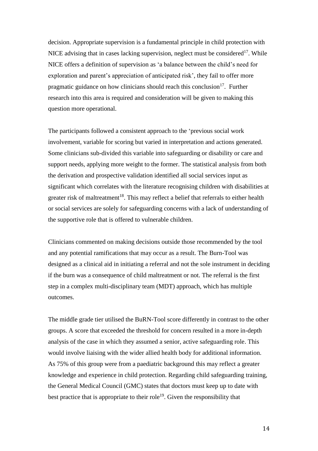decision. Appropriate supervision is a fundamental principle in child protection with NICE advising that in cases lacking supervision, neglect must be considered<sup>17</sup>. While NICE offers a definition of supervision as 'a balance between the child's need for exploration and parent's appreciation of anticipated risk', they fail to offer more pragmatic guidance on how clinicians should reach this conclusion<sup>17</sup>. Further research into this area is required and consideration will be given to making this question more operational.

The participants followed a consistent approach to the 'previous social work involvement, variable for scoring but varied in interpretation and actions generated. Some clinicians sub-divided this variable into safeguarding or disability or care and support needs, applying more weight to the former. The statistical analysis from both the derivation and prospective validation identified all social services input as significant which correlates with the literature recognising children with disabilities at greater risk of maltreatment<sup>18</sup>. This may reflect a belief that referrals to either health or social services are solely for safeguarding concerns with a lack of understanding of the supportive role that is offered to vulnerable children.

Clinicians commented on making decisions outside those recommended by the tool and any potential ramifications that may occur as a result. The Burn-Tool was designed as a clinical aid in initiating a referral and not the sole instrument in deciding if the burn was a consequence of child maltreatment or not. The referral is the first step in a complex multi-disciplinary team (MDT) approach, which has multiple outcomes.

The middle grade tier utilised the BuRN-Tool score differently in contrast to the other groups. A score that exceeded the threshold for concern resulted in a more in-depth analysis of the case in which they assumed a senior, active safeguarding role. This would involve liaising with the wider allied health body for additional information. As 75% of this group were from a paediatric background this may reflect a greater knowledge and experience in child protection. Regarding child safeguarding training, the General Medical Council (GMC) states that doctors must keep up to date with best practice that is appropriate to their role<sup>19</sup>. Given the responsibility that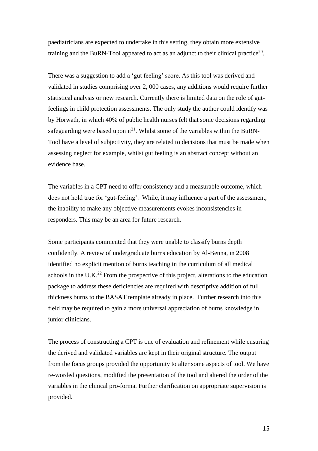paediatricians are expected to undertake in this setting, they obtain more extensive training and the BuRN-Tool appeared to act as an adjunct to their clinical practice<sup>20</sup>.

There was a suggestion to add a 'gut feeling' score. As this tool was derived and validated in studies comprising over 2, 000 cases, any additions would require further statistical analysis or new research. Currently there is limited data on the role of gutfeelings in child protection assessments. The only study the author could identify was by Horwath, in which 40% of public health nurses felt that some decisions regarding safeguarding were based upon it<sup>21</sup>. Whilst some of the variables within the BuRN-Tool have a level of subjectivity, they are related to decisions that must be made when assessing neglect for example, whilst gut feeling is an abstract concept without an evidence base.

The variables in a CPT need to offer consistency and a measurable outcome, which does not hold true for 'gut-feeling'. While, it may influence a part of the assessment, the inability to make any objective measurements evokes inconsistencies in responders. This may be an area for future research.

Some participants commented that they were unable to classify burns depth confidently. A review of undergraduate burns education by Al-Benna, in 2008 identified no explicit mention of burns teaching in the curriculum of all medical schools in the U.K.<sup>22</sup> From the prospective of this project, alterations to the education package to address these deficiencies are required with descriptive addition of full thickness burns to the BASAT template already in place. Further research into this field may be required to gain a more universal appreciation of burns knowledge in junior clinicians.

The process of constructing a CPT is one of evaluation and refinement while ensuring the derived and validated variables are kept in their original structure. The output from the focus groups provided the opportunity to alter some aspects of tool. We have re-worded questions, modified the presentation of the tool and altered the order of the variables in the clinical pro-forma. Further clarification on appropriate supervision is provided.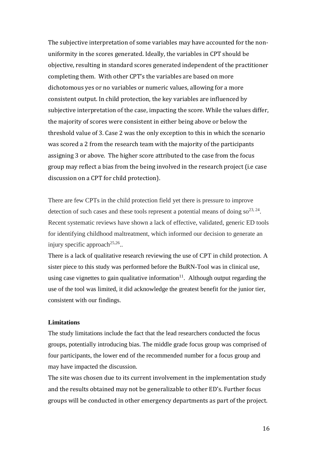The subjective interpretation of some variables may have accounted for the nonuniformity in the scores generated. Ideally, the variables in CPT should be objective, resulting in standard scores generated independent of the practitioner completing them. With other CPT's the variables are based on more dichotomous yes or no variables or numeric values, allowing for a more consistent output. In child protection, the key variables are influenced by subjective interpretation of the case, impacting the score. While the values differ, the majority of scores were consistent in either being above or below the threshold value of 3. Case 2 was the only exception to this in which the scenario was scored a 2 from the research team with the majority of the participants assigning 3 or above. The higher score attributed to the case from the focus group may reflect a bias from the being involved in the research project (i.e case discussion on a CPT for child protection).

There are few CPTs in the child protection field yet there is pressure to improve detection of such cases and these tools represent a potential means of doing  $\delta^{23, 24}$ . Recent systematic reviews have shown a lack of effective, validated, generic ED tools for identifying childhood maltreatment, which informed our decision to generate an injury specific approach<sup>25,26</sup>..

There is a lack of qualitative research reviewing the use of CPT in child protection. A sister piece to this study was performed before the BuRN-Tool was in clinical use, using case vignettes to gain qualitative information<sup>11</sup>. Although output regarding the use of the tool was limited, it did acknowledge the greatest benefit for the junior tier, consistent with our findings.

## **Limitations**

The study limitations include the fact that the lead researchers conducted the focus groups, potentially introducing bias. The middle grade focus group was comprised of four participants, the lower end of the recommended number for a focus group and may have impacted the discussion.

The site was chosen due to its current involvement in the implementation study and the results obtained may not be generalizable to other ED's. Further focus groups will be conducted in other emergency departments as part of the project.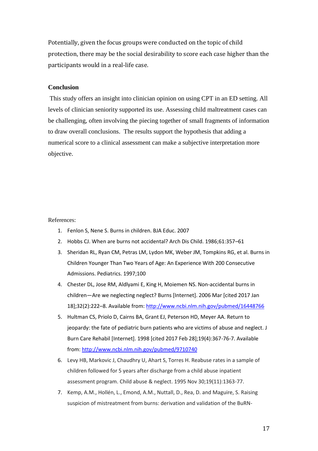Potentially, given the focus groups were conducted on the topic of child protection, there may be the social desirability to score each case higher than the participants would in a real-life case.

## **Conclusion**

This study offers an insight into clinician opinion on using CPT in an ED setting. All levels of clinician seniority supported its use. Assessing child maltreatment cases can be challenging, often involving the piecing together of small fragments of information to draw overall conclusions. The results support the hypothesis that adding a numerical score to a clinical assessment can make a subjective interpretation more objective.

### References:

- 1. Fenlon S, Nene S. Burns in children. BJA Educ. 2007
- 2. Hobbs CJ. When are burns not accidental? Arch Dis Child. 1986;61:357–61
- 3. Sheridan RL, Ryan CM, Petras LM, Lydon MK, Weber JM, Tompkins RG, et al. Burns in Children Younger Than Two Years of Age: An Experience With 200 Consecutive Admissions. Pediatrics. 1997;100
- 4. Chester DL, Jose RM, Aldlyami E, King H, Moiemen NS. Non-accidental burns in children—Are we neglecting neglect? Burns [Internet]. 2006 Mar [cited 2017 Jan 18];32(2):222–8. Available from:<http://www.ncbi.nlm.nih.gov/pubmed/16448766>
- 5. Hultman CS, Priolo D, Cairns BA, Grant EJ, Peterson HD, Meyer AA. Return to jeopardy: the fate of pediatric burn patients who are victims of abuse and neglect. J Burn Care Rehabil [Internet]. 1998 [cited 2017 Feb 28];19(4):367-76-7. Available from:<http://www.ncbi.nlm.nih.gov/pubmed/9710740>
- 6. Levy HB, Markovic J, Chaudhry U, Ahart S, Torres H. Reabuse rates in a sample of children followed for 5 years after discharge from a child abuse inpatient assessment program. Child abuse & neglect. 1995 Nov 30;19(11):1363-77.
- 7. Kemp, A.M., Hollén, L., Emond, A.M., Nuttall, D., Rea, D. and Maguire, S. Raising suspicion of mistreatment from burns: derivation and validation of the BuRN-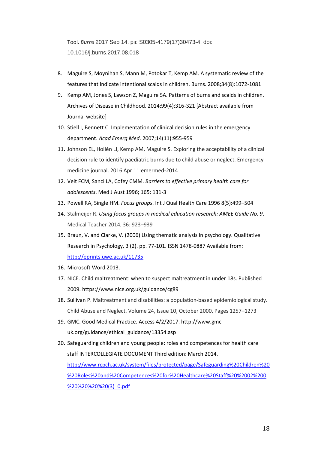Tool. *Burns* 2017 Sep 14. pii: S0305-4179(17)30473-4. doi: 10.1016/j.burns.2017.08.018

- 8. Maguire S, Moynihan S, Mann M, Potokar T, Kemp AM. A systematic review of the features that indicate intentional scalds in children. Burns. 2008;34(8):1072-1081
- 9. Kemp AM, Jones S, Lawson Z, Maguire SA. Patterns of burns and scalds in children. Archives of Disease in Childhood. 2014;99(4):316-321 [\[Abstract available from](http://adc.bmj.com/content/99/4/316?etoc)  [Journal website\]](http://adc.bmj.com/content/99/4/316?etoc)
- 10. Stiell I, Bennett C. Implementation of clinical decision rules in the emergency department. *Acad Emerg Med*. 2007;14(11):955-959
- 11. Johnson EL, Hollén LI, Kemp AM, Maguire S. Exploring the acceptability of a clinical decision rule to identify paediatric burns due to child abuse or neglect. Emergency medicine journal. 2016 Apr 11:emermed-2014
- 12. Veit FCM, Sanci LA, Cofey CMM. *Barriers to effective primary health care for adolescents*. Med J Aust 1996; 165: 131-3
- 13. Powell RA, Single HM. *Focus groups*. Int J Qual Health Care 1996 8(5):499–504
- 14. Stalmeijer R. *Using focus groups in medical education research: AMEE Guide No. 9*. Medical Teacher 2014, 36: 923–939
- 15. Braun, V. and Clarke, V. (2006) Using thematic analysis in psychology. Qualitative Research in Psychology, 3 (2). pp. 77-101. ISSN 1478-0887 Available from: <http://eprints.uwe.ac.uk/11735>
- 16. Microsoft Word 2013.
- 17. NICE. Child maltreatment: when to suspect maltreatment in under 18s. Published 2009. https://www.nice.org.uk/guidance/cg89
- 18. Sullivan P. Maltreatment and disabilities: a population-based epidemiological study. Child Abuse and Neglect. Volume 24, Issue 10, October 2000, Pages 1257–1273
- 19. GMC. Good Medical Practice. Access 4/2/2017. http://www.gmcuk.org/guidance/ethical\_guidance/13354.asp
- 20. Safeguarding children and young people: roles and competences for health care staff INTERCOLLEGIATE DOCUMENT Third edition: March 2014. [http://www.rcpch.ac.uk/system/files/protected/page/Safeguarding%20Children%20](http://www.rcpch.ac.uk/system/files/protected/page/Safeguarding%20Children%20-%20Roles%20and%20Competences%20for%20Healthcare%20Staff%20%2002%200%20%20%20%20(3)_0.pdf) [%20Roles%20and%20Competences%20for%20Healthcare%20Staff%20%2002%200](http://www.rcpch.ac.uk/system/files/protected/page/Safeguarding%20Children%20-%20Roles%20and%20Competences%20for%20Healthcare%20Staff%20%2002%200%20%20%20%20(3)_0.pdf) [%20%20%20%20\(3\)\\_0.pdf](http://www.rcpch.ac.uk/system/files/protected/page/Safeguarding%20Children%20-%20Roles%20and%20Competences%20for%20Healthcare%20Staff%20%2002%200%20%20%20%20(3)_0.pdf)